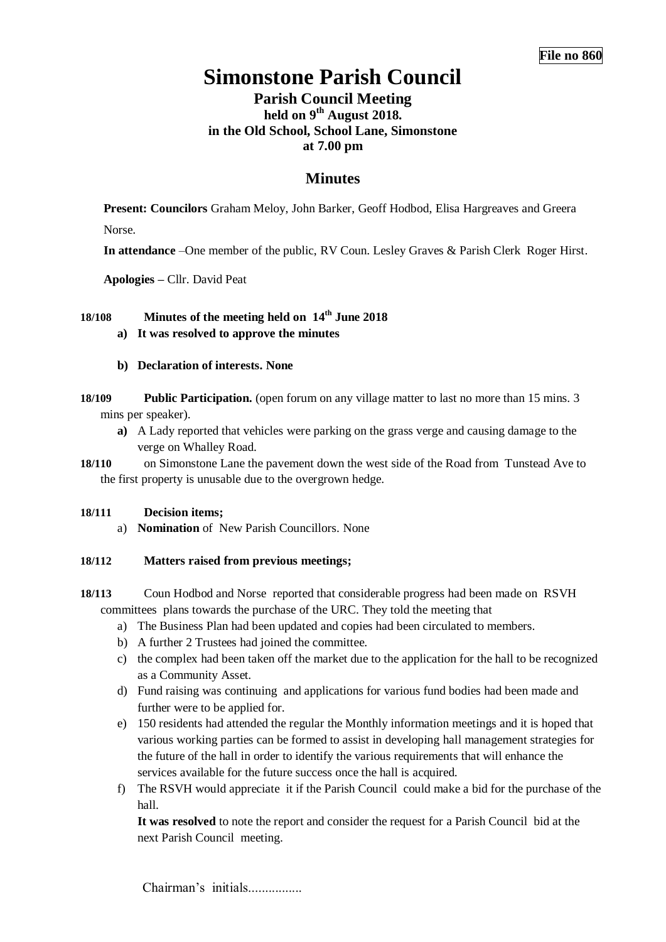# **Simonstone Parish Council**

# **Parish Council Meeting held on 9 th August 2018. in the Old School, School Lane, Simonstone at 7.00 pm**

# **Minutes**

**Present: Councilors** Graham Meloy, John Barker, Geoff Hodbod, Elisa Hargreaves and Greera Norse.

**In attendance** –One member of the public, RV Coun. Lesley Graves & Parish Clerk Roger Hirst.

**Apologies –** Cllr. David Peat

# **18/108 Minutes of the meeting held on 14th June 2018**

**a) It was resolved to approve the minutes**

#### **b) Declaration of interests. None**

- **18/109 Public Participation.** (open forum on any village matter to last no more than 15 mins. 3 mins per speaker).
	- **a)** A Lady reported that vehicles were parking on the grass verge and causing damage to the verge on Whalley Road.

**18/110** on Simonstone Lane the pavement down the west side of the Road from Tunstead Ave to the first property is unusable due to the overgrown hedge.

#### **18/111 Decision items;**

a) **Nomination** of New Parish Councillors. None

## **18/112 Matters raised from previous meetings;**

**18/113** Coun Hodbod and Norse reported that considerable progress had been made on RSVH committees plans towards the purchase of the URC. They told the meeting that

- a) The Business Plan had been updated and copies had been circulated to members.
- b) A further 2 Trustees had joined the committee.
- c) the complex had been taken off the market due to the application for the hall to be recognized as a Community Asset.
- d) Fund raising was continuing and applications for various fund bodies had been made and further were to be applied for.
- e) 150 residents had attended the regular the Monthly information meetings and it is hoped that various working parties can be formed to assist in developing hall management strategies for the future of the hall in order to identify the various requirements that will enhance the services available for the future success once the hall is acquired.
- f) The RSVH would appreciate it if the Parish Council could make a bid for the purchase of the hall.

**It was resolved** to note the report and consider the request for a Parish Council bid at the next Parish Council meeting.

Chairman's initials.................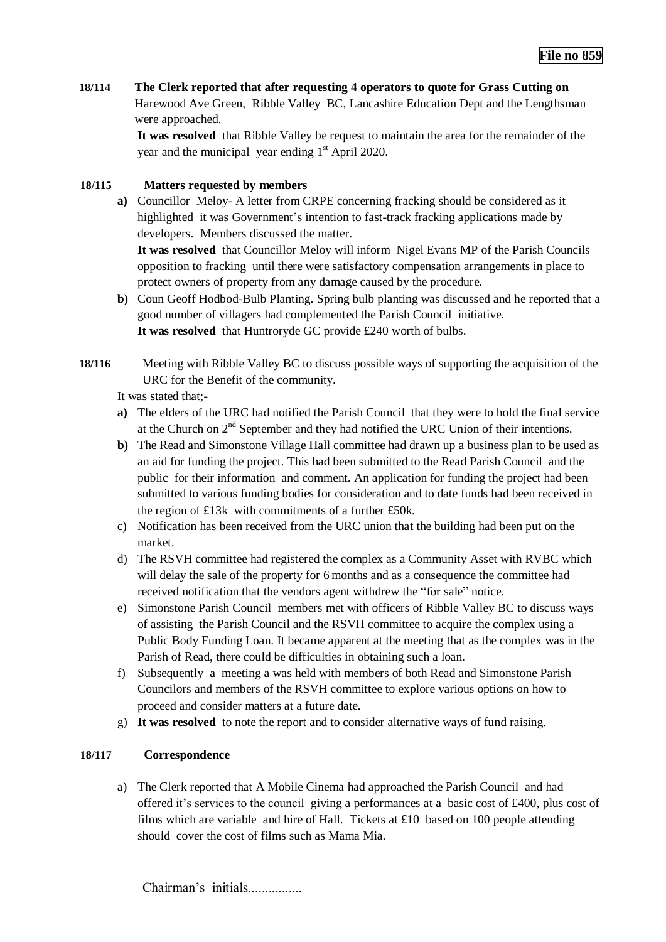**18/114 The Clerk reported that after requesting 4 operators to quote for Grass Cutting on**  Harewood Ave Green, Ribble Valley BC, Lancashire Education Dept and the Lengthsman were approached.

> **It was resolved** that Ribble Valley be request to maintain the area for the remainder of the year and the municipal year ending  $1<sup>st</sup>$  April 2020.

## **18/115 Matters requested by members**

**a)** Councillor Meloy- A letter from CRPE concerning fracking should be considered as it highlighted it was Government's intention to fast-track fracking applications made by developers. Members discussed the matter.

**It was resolved** that Councillor Meloy will inform Nigel Evans MP of the Parish Councils opposition to fracking until there were satisfactory compensation arrangements in place to protect owners of property from any damage caused by the procedure.

- **b)** Coun Geoff Hodbod-Bulb Planting. Spring bulb planting was discussed and he reported that a good number of villagers had complemented the Parish Council initiative. **It was resolved** that Huntroryde GC provide £240 worth of bulbs.
- **18/116** Meeting with Ribble Valley BC to discuss possible ways of supporting the acquisition of the URC for the Benefit of the community.

It was stated that;-

- **a)** The elders of the URC had notified the Parish Council that they were to hold the final service at the Church on 2nd September and they had notified the URC Union of their intentions.
- **b)** The Read and Simonstone Village Hall committee had drawn up a business plan to be used as an aid for funding the project. This had been submitted to the Read Parish Council and the public for their information and comment. An application for funding the project had been submitted to various funding bodies for consideration and to date funds had been received in the region of £13k with commitments of a further £50k.
- c) Notification has been received from the URC union that the building had been put on the market.
- d) The RSVH committee had registered the complex as a Community Asset with RVBC which will delay the sale of the property for 6 months and as a consequence the committee had received notification that the vendors agent withdrew the "for sale" notice.
- e) Simonstone Parish Council members met with officers of Ribble Valley BC to discuss ways of assisting the Parish Council and the RSVH committee to acquire the complex using a Public Body Funding Loan. It became apparent at the meeting that as the complex was in the Parish of Read, there could be difficulties in obtaining such a loan.
- f) Subsequently a meeting a was held with members of both Read and Simonstone Parish Councilors and members of the RSVH committee to explore various options on how to proceed and consider matters at a future date.
- g) **It was resolved** to note the report and to consider alternative ways of fund raising.

#### **18/117 Correspondence**

a) The Clerk reported that A Mobile Cinema had approached the Parish Council and had offered it's services to the council giving a performances at a basic cost of £400, plus cost of films which are variable and hire of Hall. Tickets at £10 based on 100 people attending should cover the cost of films such as Mama Mia.

Chairman's initials.................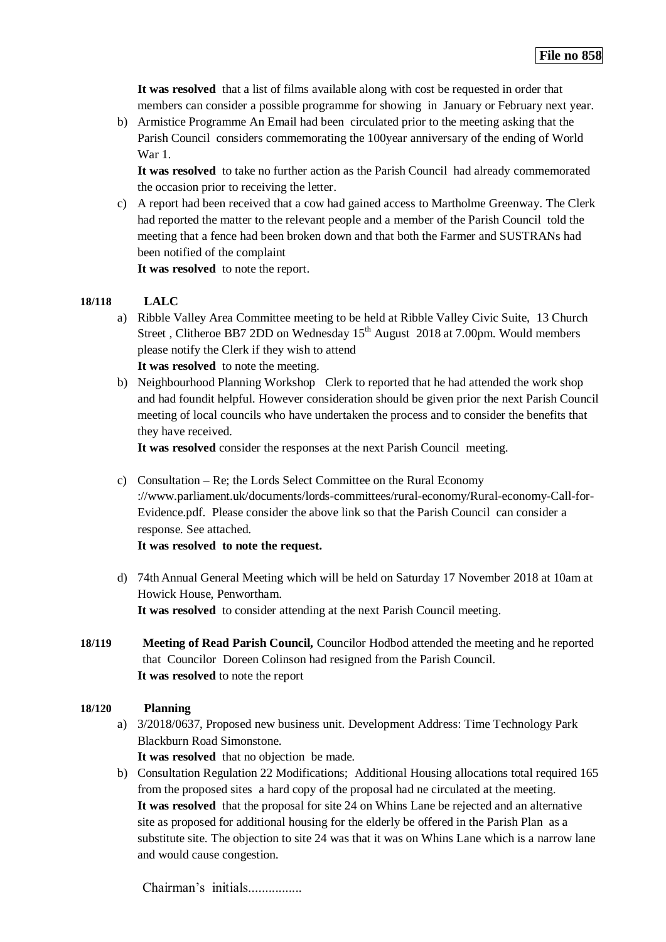**It was resolved** that a list of films available along with cost be requested in order that members can consider a possible programme for showing in January or February next year.

b) Armistice Programme An Email had been circulated prior to the meeting asking that the Parish Council considers commemorating the 100year anniversary of the ending of World War 1.

**It was resolved** to take no further action as the Parish Council had already commemorated the occasion prior to receiving the letter.

c) A report had been received that a cow had gained access to Martholme Greenway. The Clerk had reported the matter to the relevant people and a member of the Parish Council told the meeting that a fence had been broken down and that both the Farmer and SUSTRANs had been notified of the complaint

**It was resolved** to note the report.

#### **18/118 LALC**

a) Ribble Valley Area Committee meeting to be held at Ribble Valley Civic Suite, 13 Church Street, Clitheroe BB7 2DD on Wednesday 15<sup>th</sup> August 2018 at 7.00pm. Would members please notify the Clerk if they wish to attend

**It was resolved** to note the meeting.

b) Neighbourhood Planning Workshop Clerk to reported that he had attended the work shop and had foundit helpful. However consideration should be given prior the next Parish Council meeting of local councils who have undertaken the process and to consider the benefits that they have received.

**It was resolved** consider the responses at the next Parish Council meeting.

c) Consultation – Re; the Lords Select Committee on the Rural Economy ://www.parliament.uk/documents/lords-committees/rural-economy/Rural-economy-Call-for-Evidence.pdf. Please consider the above link so that the Parish Council can consider a response. See attached.

**It was resolved to note the request.**

- d) 74th Annual General Meeting which will be held on Saturday 17 November 2018 at 10am at Howick House, Penwortham. **It was resolved** to consider attending at the next Parish Council meeting.
- **18/119 Meeting of Read Parish Council,** Councilor Hodbod attended the meeting and he reported that Councilor Doreen Colinson had resigned from the Parish Council. **It was resolved** to note the report

## **18/120 Planning**

- a) 3/2018/0637, Proposed new business unit. Development Address: Time Technology Park Blackburn Road Simonstone. **It was resolved** that no objection be made.
- b) Consultation Regulation 22 Modifications; Additional Housing allocations total required 165 from the proposed sites a hard copy of the proposal had ne circulated at the meeting. **It was resolved** that the proposal for site 24 on Whins Lane be rejected and an alternative site as proposed for additional housing for the elderly be offered in the Parish Plan as a substitute site. The objection to site 24 was that it was on Whins Lane which is a narrow lane and would cause congestion.

Chairman's initials.................